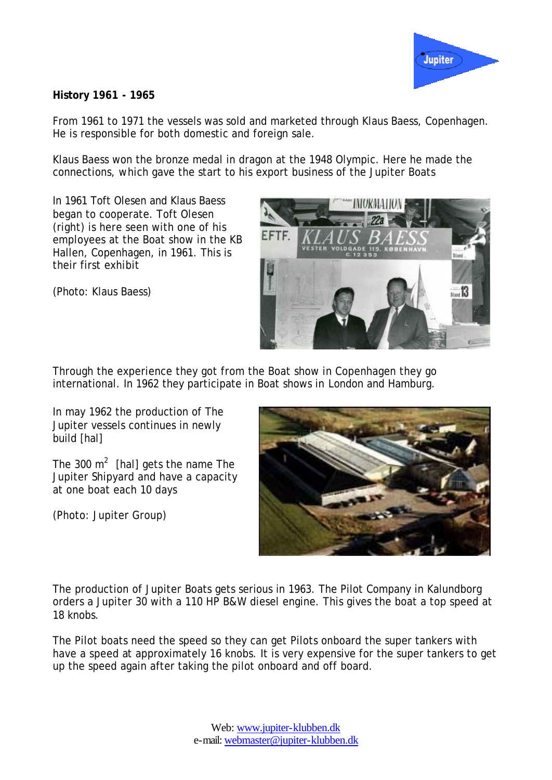

## **History 1961 - 1965**

From 1961 to 1971 the vessels was sold and marketed through Klaus Baess, Copenhagen. He is responsible for both domestic and foreign sale.

Klaus Baess won the bronze medal in dragon at the 1948 Olympic. Here he made the connections, which gave the start to his export business of the Jupiter Boats

In 1961 Toft Olesen and Klaus Baess began to cooperate. Toft Olesen (right) is here seen with one of his employees at the Boat show in the KB Hallen, Copenhagen, in 1961. This is their first exhibit



(Photo: Klaus Baess)

Through the experience they got from the Boat show in Copenhagen they go international. In 1962 they participate in Boat shows in London and Hamburg.

In may 1962 the production of The Jupiter vessels continues in newly build [hal]

The 300  $m^2$  [hal] gets the name The Jupiter Shipyard and have a capacity at one boat each 10 days

(Photo: Jupiter Group)



The production of Jupiter Boats gets serious in 1963. The Pilot Company in Kalundborg orders a Jupiter 30 with a 110 HP B&W diesel engine. This gives the boat a top speed at 18 knobs.

The Pilot boats need the speed so they can get Pilots onboard the super tankers with have a speed at approximately 16 knobs. It is very expensive for the super tankers to get up the speed again after taking the pilot onboard and off board.